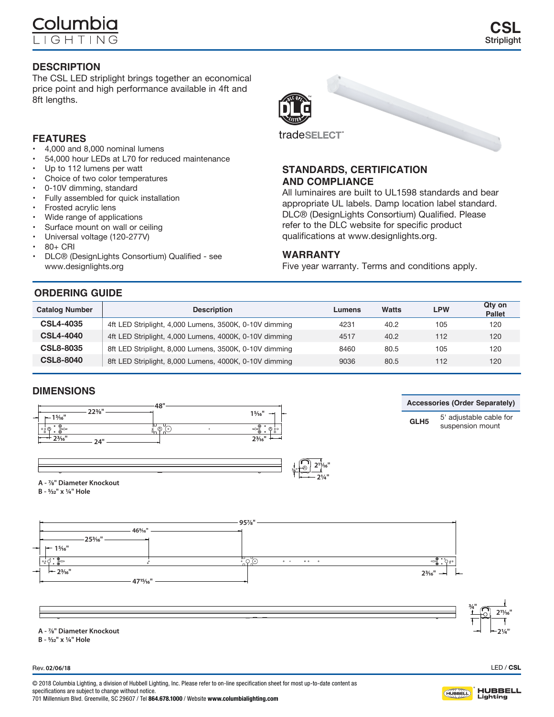The CSL LED striplight brings together an economical price point and high performance available in 4ft and 8ft lengths.

## **FEATURES**

- 4,000 and 8,000 nominal lumens
- 54,000 hour LEDs at L70 for reduced maintenance
- Up to 112 lumens per watt
- Choice of two color temperatures
- 0-10V dimming, standard
- Fully assembled for quick installation
- Frosted acrylic lens
- Wide range of applications
- • Surface mount on wall or ceiling
- • Universal voltage (120-277V)
- • 80+ CRI
- DLC® (DesignLights Consortium) Qualified see www.designlights.org

# **ORDE**

| <b>ORDERING GUIDE</b> |                                                        |                               |      |     |                  |
|-----------------------|--------------------------------------------------------|-------------------------------|------|-----|------------------|
| <b>Catalog Number</b> | <b>Description</b>                                     | <b>LPW</b><br>Watts<br>Lumens |      |     | Qty on<br>Pallet |
| <b>CSL4-4035</b>      | 4ft LED Striplight, 4,000 Lumens, 3500K, 0-10V dimming | 4231                          | 40.2 | 105 | 120              |
| <b>CSL4-4040</b>      | 4ft LED Striplight, 4,000 Lumens, 4000K, 0-10V dimming | 4517                          | 40.2 | 112 | 120              |

| <b>CSL4-4040</b> | 4ft LED Striplight, 4,000 Lumens, 4000K, 0-10V dimming | 4517 | 40.2 | 112 | 120 |
|------------------|--------------------------------------------------------|------|------|-----|-----|
| <b>CSL8-8035</b> | 8ft LED Striplight, 8,000 Lumens, 3500K, 0-10V dimming | 8460 | 80.5 | 105 | 120 |
| <b>CSL8-8040</b> | 8ft LED Striplight, 8,000 Lumens, 4000K, 0-10V dimming | 9036 | 80.5 | 112 | 120 |

## **DIMENSIONS**







**STANDARDS, CERTIFICATION** 

All luminaires are built to UL1598 standards and bear appropriate UL labels. Damp location label standard. DLC® (DesignLights Consortium) Qualified. Please refer to the DLC website for specific product qualifications at www.designlights.org.

Five year warranty. Terms and conditions apply.

**AND COMPLIANCE**

**WARRANTY**

tradeSELECT

**Accessories (Order Separately)**

**GLH5** 5' adjustable cable for suspension mount

**A - 7/8" Diameter Knockout**

A - 7/8" Diameter Knockout B - 5/32" x 1/4" Hole **B - 5/32" x 1/4" Hole**



**A - 7/8" Diameter Knockout**

A - 7/8" DIAMETER KNOCKOUT B - 5/32" X 1/4" HOLE **B - 5/32" x 1/4" Hole**

Rev. **02/06/18**

© 2018 Columbia Lighting, a division of Hubbell Lighting, Inc. Please refer to on-line specification sheet for most up-to-date content as specifications are subject to change without notice. 701 Millennium Blvd. Greenville, SC 29607 / Tel 864.678.1000 / Website www.columbialighting.com



# **CSL Striplight**

LED / CSL